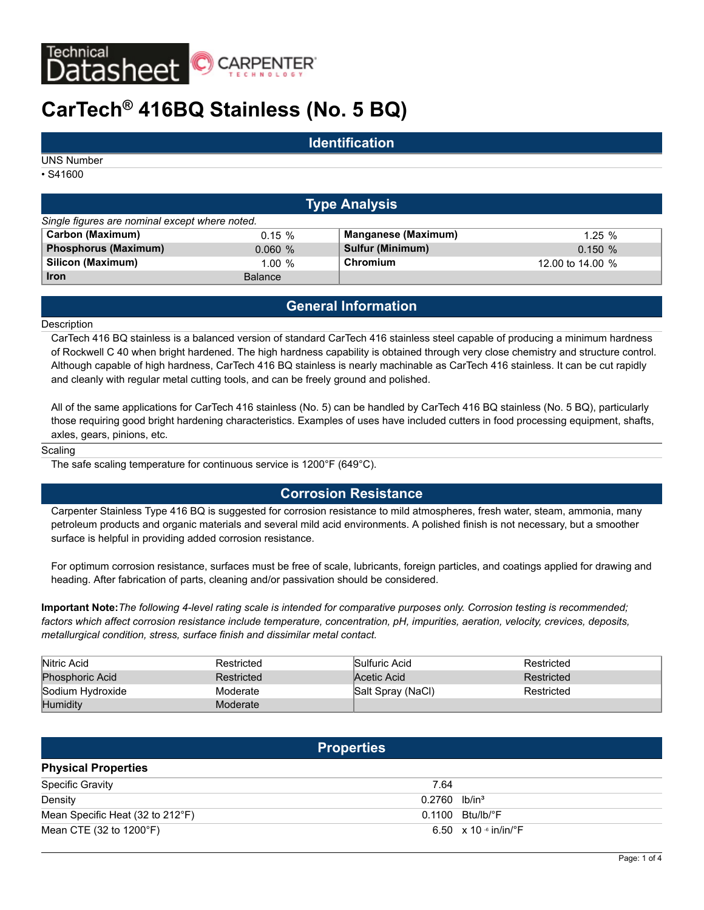

# **CarTech® 416BQ Stainless (No. 5 BQ)**

### **Identification**

UNS Number

• S41600

|                                                | <b>Type Analysis</b> |                            |                  |  |  |  |  |  |  |  |
|------------------------------------------------|----------------------|----------------------------|------------------|--|--|--|--|--|--|--|
| Single figures are nominal except where noted. |                      |                            |                  |  |  |  |  |  |  |  |
| Carbon (Maximum)                               | $0.15 \%$            | <b>Manganese (Maximum)</b> | 1.25%            |  |  |  |  |  |  |  |
| Phosphorus (Maximum)                           | 0.060%               | <b>Sulfur (Minimum)</b>    | 0.150%           |  |  |  |  |  |  |  |
| Silicon (Maximum)                              | $1.00 \%$            | Chromium                   | 12.00 to 14.00 % |  |  |  |  |  |  |  |
| <b>Iron</b>                                    | <b>Balance</b>       |                            |                  |  |  |  |  |  |  |  |

## **General Information**

#### **Description**

CarTech 416 BQ stainless is a balanced version of standard CarTech 416 stainless steel capable of producing a minimum hardness of Rockwell C 40 when bright hardened. The high hardness capability is obtained through very close chemistry and structure control. Although capable of high hardness, CarTech 416 BQ stainless is nearly machinable as CarTech 416 stainless. It can be cut rapidly and cleanly with regular metal cutting tools, and can be freely ground and polished.

All of the same applications for CarTech 416 stainless (No. 5) can be handled by CarTech 416 BQ stainless (No. 5 BQ), particularly those requiring good bright hardening characteristics. Examples of uses have included cutters in food processing equipment, shafts, axles, gears, pinions, etc.

#### **Scaling**

The safe scaling temperature for continuous service is 1200°F (649°C).

### **Corrosion Resistance**

Carpenter Stainless Type 416 BQ is suggested for corrosion resistance to mild atmospheres, fresh water, steam, ammonia, many petroleum products and organic materials and several mild acid environments. A polished finish is not necessary, but a smoother surface is helpful in providing added corrosion resistance.

For optimum corrosion resistance, surfaces must be free of scale, lubricants, foreign particles, and coatings applied for drawing and heading. After fabrication of parts, cleaning and/or passivation should be considered.

**Important Note:***The following 4-level rating scale is intended for comparative purposes only. Corrosion testing is recommended; factors which affect corrosion resistance include temperature, concentration, pH, impurities, aeration, velocity, crevices, deposits, metallurgical condition, stress, surface finish and dissimilar metal contact.*

| Nitric Acid      | Restricted | Sulfuric Acid     | Restricted |
|------------------|------------|-------------------|------------|
| Phosphoric Acid  | Restricted | Acetic Acid       | Restricted |
| Sodium Hydroxide | Moderate   | Salt Spray (NaCl) | Restricted |
| Humidity         | Moderate   |                   |            |

| <b>Properties</b>                |                                           |  |  |  |  |  |
|----------------------------------|-------------------------------------------|--|--|--|--|--|
| <b>Physical Properties</b>       |                                           |  |  |  |  |  |
| <b>Specific Gravity</b>          | 7.64                                      |  |  |  |  |  |
| Density                          | $0.2760$ lb/in <sup>3</sup>               |  |  |  |  |  |
| Mean Specific Heat (32 to 212°F) | $0.1100$ Btu/lb/ $\degree$ F              |  |  |  |  |  |
| Mean CTE (32 to 1200°F)          | 6.50 $\times$ 10 $\cdot$ in/in/ $\cdot$ F |  |  |  |  |  |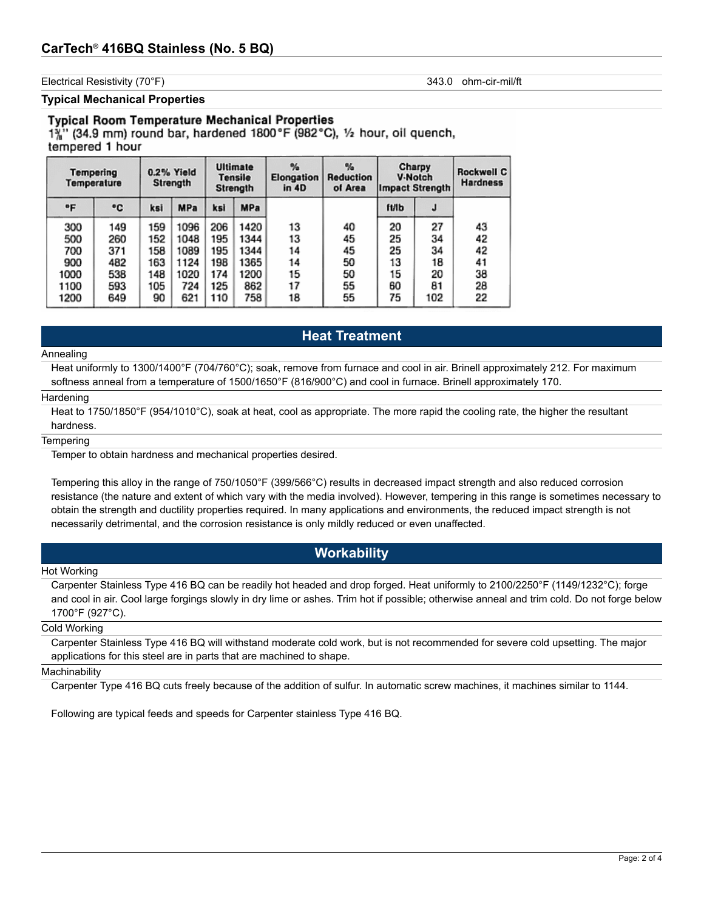Electrical Resistivity (70°F) 343.0 ohm-cir-mil/ft

**Typical Mechanical Properties**

#### **Typical Room Temperature Mechanical Properties**

 $1\frac{5}{6}$ " (34.9 mm) round bar, hardened 1800°F (982°C), 1/2 hour, oil quench, tempered 1 hour

|      | <b>Tempering</b><br>Temperature |     | 0.2% Yield<br><b>Strength</b> |     | <b>Ultimate</b><br>Tensile<br>Strength | %<br>Elongation<br>in 4D | $\frac{1}{2}$<br><b>Reduction</b><br>of Area | Charpy<br><b>V-Notch</b><br><b>Impact Strength</b> |     | Rockwell C<br><b>Hardness</b> |
|------|---------------------------------|-----|-------------------------------|-----|----------------------------------------|--------------------------|----------------------------------------------|----------------------------------------------------|-----|-------------------------------|
| °F   | ۰c                              | ksi | <b>MPa</b>                    | ksi | <b>MPa</b>                             |                          |                                              | <b>ft/lb</b>                                       | J   |                               |
| 300  | 149                             | 159 | 1096                          | 206 | 1420                                   | 13                       | 40                                           | 20                                                 | 27  | 43                            |
| 500  | 260                             | 152 | 1048                          | 195 | 1344                                   | 13                       | 45                                           | 25                                                 | 34  | 42                            |
| 700  | 371                             | 158 | 1089                          | 195 | 1344                                   | 14                       | 45                                           | 25                                                 | 34  | 42                            |
| 900  | 482                             | 163 | 1124                          | 198 | 1365                                   | 14                       | 50                                           | 13                                                 | 18  | 41                            |
| 1000 | 538                             | 148 | 1020                          | 174 | 1200                                   | 15                       | 50                                           | 15                                                 | 20  | 38                            |
| 1100 | 593                             | 105 | 724                           | 125 | 862                                    | 17                       | 55                                           | 60                                                 | 81  | 28                            |
| 1200 | 649                             | 90  | 621                           | 110 | 758                                    | 18                       | 55                                           | 75                                                 | 102 | 22                            |

### **Heat Treatment**

#### Annealing

Heat uniformly to 1300/1400°F (704/760°C); soak, remove from furnace and cool in air. Brinell approximately 212. For maximum softness anneal from a temperature of 1500/1650°F (816/900°C) and cool in furnace. Brinell approximately 170.

#### **Hardening**

Heat to 1750/1850°F (954/1010°C), soak at heat, cool as appropriate. The more rapid the cooling rate, the higher the resultant hardness.

#### **Tempering**

Temper to obtain hardness and mechanical properties desired.

Tempering this alloy in the range of 750/1050°F (399/566°C) results in decreased impact strength and also reduced corrosion resistance (the nature and extent of which vary with the media involved). However, tempering in this range is sometimes necessary to obtain the strength and ductility properties required. In many applications and environments, the reduced impact strength is not necessarily detrimental, and the corrosion resistance is only mildly reduced or even unaffected.

### **Workability**

#### Hot Working

Carpenter Stainless Type 416 BQ can be readily hot headed and drop forged. Heat uniformly to 2100/2250°F (1149/1232°C); forge and cool in air. Cool large forgings slowly in dry lime or ashes. Trim hot if possible; otherwise anneal and trim cold. Do not forge below 1700°F (927°C).

#### Cold Working

Carpenter Stainless Type 416 BQ will withstand moderate cold work, but is not recommended for severe cold upsetting. The major applications for this steel are in parts that are machined to shape.

#### **Machinability**

Carpenter Type 416 BQ cuts freely because of the addition of sulfur. In automatic screw machines, it machines similar to 1144.

Following are typical feeds and speeds for Carpenter stainless Type 416 BQ.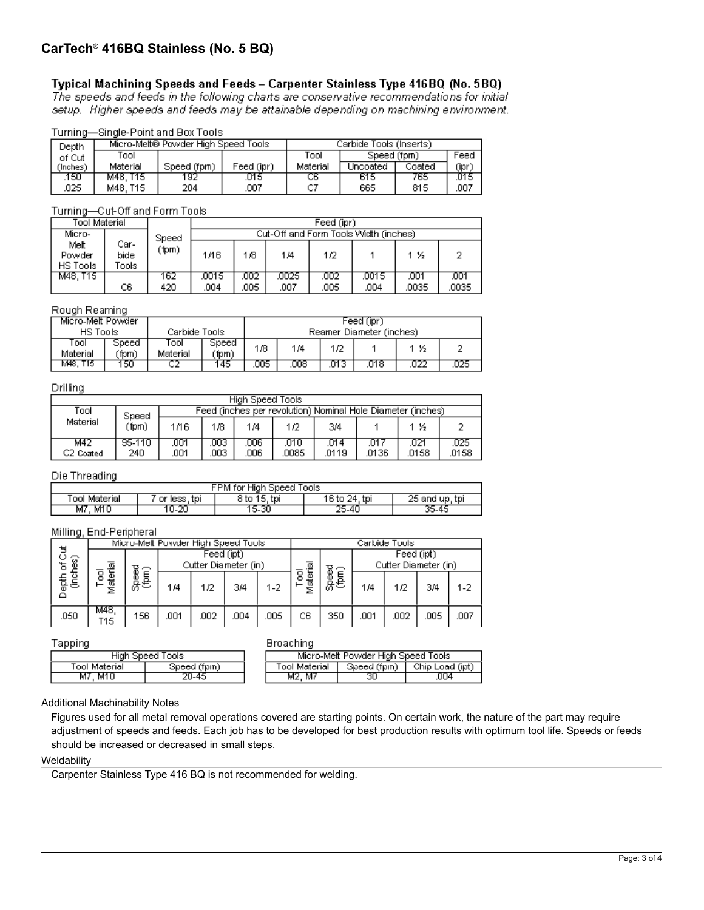### Typical Machining Speeds and Feeds - Carpenter Stainless Type 416BQ (No. 5BQ)

The speeds and feeds in the following charts are conservative recommendations for initial setup. Higher speeds and feeds may be attainable depending on machining environment.

### Turning-Single-Point and Box Tools

| Depth     |          | Micro-Melt® Powder High Speed Tools |            | Carbide Tools (Inserts) |             |        |       |  |
|-----------|----------|-------------------------------------|------------|-------------------------|-------------|--------|-------|--|
| of Cut    | Tool     |                                     |            | Tool                    | Speed (fpm) |        | Feed  |  |
| (Inches). | Material | Speed (fpm)                         | Feed (ipr) | Material                | Uncoated    | Coated | (ipr) |  |
| .150      | M48. T15 | 192                                 | .015       | CБ                      | 615         | 765    | 015   |  |
| 025       | M48. T15 | 204                                 | .007       |                         | 665         | 815    | .007  |  |

### Turning-Cut-Off and Form Tools

| Tool Material              |                        |       | Feed (ipr)                            |      |      |      |       |       |       |  |
|----------------------------|------------------------|-------|---------------------------------------|------|------|------|-------|-------|-------|--|
| Micro-                     |                        | Speed | Cut-Off and Form Tools Width (inches) |      |      |      |       |       |       |  |
| Melt<br>Powder<br>HS Tools | Car-<br>bide<br>Fools: | (fpm) | 1/16                                  | 1/8  | 1/4  | 1/2  |       | 1 ½   |       |  |
| M48.T15                    |                        | 162.  | .0015                                 | .002 | 0025 | .002 | .0015 | .001  | .001  |  |
|                            | C6                     | 420   | .004                                  | .005 | .007 | .005 | .004  | .0035 | .0035 |  |

### Rough Reaming

| Micro-Melt Powder |               |                   |                | Feed (ipr) |     |      |                          |     |     |
|-------------------|---------------|-------------------|----------------|------------|-----|------|--------------------------|-----|-----|
| HS Tools          |               | Carbide Tools     |                |            |     |      | Reamer Diameter (inches) |     |     |
| rool<br>Material  | Speed<br>(fpm | l ool<br>Material | Speed<br>`fpm) | 1/8        | 1/4 | 1/2  |                          | 1 % |     |
| M48. T15          | 150 -         |                   | 45             | ОО5        | 008 | U13. | .018                     |     | 025 |

#### Drilling

| High Speed Tools             |               |                                                             |            |             |              |               |               |              |               |  |
|------------------------------|---------------|-------------------------------------------------------------|------------|-------------|--------------|---------------|---------------|--------------|---------------|--|
| Tool                         | Speed         | Feed (inches per revolution) Nominal Hole Diameter (inches) |            |             |              |               |               |              |               |  |
| Material                     | (fpm)         | 1/16                                                        | 1/8        | 1/4         | 1/2          | 3/4           |               | 1 ½          |               |  |
| M42<br>C <sub>2</sub> Coated | 95-110<br>240 | .001<br>.001                                                | 003<br>003 | 006<br>.006 | 010<br>.0085 | .014<br>.0119 | .017<br>.0136 | 021<br>.0158 | .025<br>.0158 |  |

### Die Threading

| FPM for High Speed Tools |              |              |               |                |  |  |  |  |
|--------------------------|--------------|--------------|---------------|----------------|--|--|--|--|
| 「ool Material            | or less, tpi | 8 to 15, tpi | 16 to 24, tpi | 25 and up, tpi |  |  |  |  |
| . M10<br>M7              | 10-20        | 15-30        | 25-40         | 35-45          |  |  |  |  |

#### Milling, End-Peripheral

|      | Micro-Mell Powder High Speed Tools             |     |                                             |      |      |      | Carbide Tools       |                      |            |      |      |      |
|------|------------------------------------------------|-----|---------------------------------------------|------|------|------|---------------------|----------------------|------------|------|------|------|
| ଛ    |                                                |     | Feed (ipt)                                  |      |      |      |                     |                      | Feed (ipt) |      |      |      |
|      | έ<br>ळ<br>Φ<br>g<br>epp<br>D<br>ğ<br>န္တီ<br>ಹ | ᇹᇰ  | Cutter Diameter (in)<br>$\overline{\sigma}$ |      |      |      |                     | Cutter Diameter (in) |            |      |      |      |
|      |                                                | 長   | 1/4                                         | 1/2  | 3/4  | 1-2  | g<br>ter<br>at<br>Σ | င်များ<br>(ကျော်     | 1/4        | 1/2  | 3/4  | 1-2  |
| .050 | M48.<br>T15                                    | 156 | 001                                         | .002 | .004 | .005 | C6                  | 350                  | .001       | .002 | .005 | .007 |

#### Tapping

|       | Broaching        |  |
|-------|------------------|--|
| Fools | Micro-Melt Powde |  |
|       |                  |  |

| High Speed Tools |              |  |                | Micro-Melt Powder High Speed Tools |                 |
|------------------|--------------|--|----------------|------------------------------------|-----------------|
| Tool Material.   | Speed (fpm). |  | Tool Material. | Speed (fpm)                        | Chip Load (ipt) |
| M7, M10          |              |  | . M7<br>M2.    |                                    | JO4             |
|                  |              |  |                |                                    |                 |

### Additional Machinability Notes

Figures used for all metal removal operations covered are starting points. On certain work, the nature of the part may require adjustment of speeds and feeds. Each job has to be developed for best production results with optimum tool life. Speeds or feeds should be increased or decreased in small steps.

### **Weldability**

Carpenter Stainless Type 416 BQ is not recommended for welding.